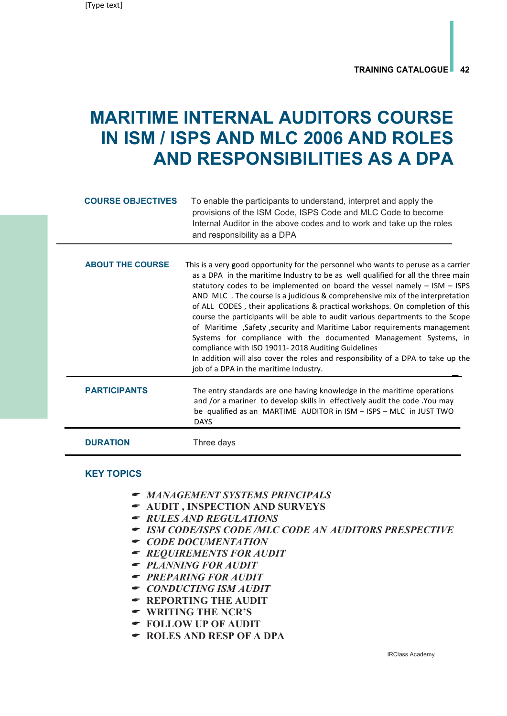## MARITIME INTERNAL AUDITORS COURSE IN ISM / ISPS AND MLC 2006 AND ROLES AND RESPONSIBILITIES AS A DPA

| <b>COURSE OBJECTIVES</b> | To enable the participants to understand, interpret and apply the<br>provisions of the ISM Code, ISPS Code and MLC Code to become<br>Internal Auditor in the above codes and to work and take up the roles<br>and responsibility as a DPA                                                                                                                                                                                                                                                                                                                                                                                                                                                                                                                                                                                                   |
|--------------------------|---------------------------------------------------------------------------------------------------------------------------------------------------------------------------------------------------------------------------------------------------------------------------------------------------------------------------------------------------------------------------------------------------------------------------------------------------------------------------------------------------------------------------------------------------------------------------------------------------------------------------------------------------------------------------------------------------------------------------------------------------------------------------------------------------------------------------------------------|
| <b>ABOUT THE COURSE</b>  | This is a very good opportunity for the personnel who wants to peruse as a carrier<br>as a DPA in the maritime Industry to be as well qualified for all the three main<br>statutory codes to be implemented on board the vessel namely - ISM - ISPS<br>AND MLC. The course is a judicious & comprehensive mix of the interpretation<br>of ALL CODES, their applications & practical workshops. On completion of this<br>course the participants will be able to audit various departments to the Scope<br>of Maritime, Safety, security and Maritime Labor requirements management<br>Systems for compliance with the documented Management Systems, in<br>compliance with ISO 19011-2018 Auditing Guidelines<br>In addition will also cover the roles and responsibility of a DPA to take up the<br>job of a DPA in the maritime Industry. |
| <b>PARTICIPANTS</b>      | The entry standards are one having knowledge in the maritime operations<br>and /or a mariner to develop skills in effectively audit the code .You may<br>be qualified as an MARTIME AUDITOR in ISM - ISPS - MLC in JUST TWO<br><b>DAYS</b>                                                                                                                                                                                                                                                                                                                                                                                                                                                                                                                                                                                                  |
| <b>DURATION</b>          | Three days                                                                                                                                                                                                                                                                                                                                                                                                                                                                                                                                                                                                                                                                                                                                                                                                                                  |

## KEY TOPICS

- MANAGEMENT SYSTEMS PRINCIPALS
- AUDIT , INSPECTION AND SURVEYS
- RULES AND REGULATIONS
- ISM CODE/ISPS CODE /MLC CODE AN AUDITORS PRESPECTIVE
- $\bullet$  CODE DOCUMENTATION
- REQUIREMENTS FOR AUDIT
- PLANNING FOR AUDIT
- PREPARING FOR AUDIT
- CONDUCTING ISM AUDIT
- REPORTING THE AUDIT
- WRITING THE NCR'S
- FOLLOW UP OF AUDIT
- ROLES AND RESP OF A DPA